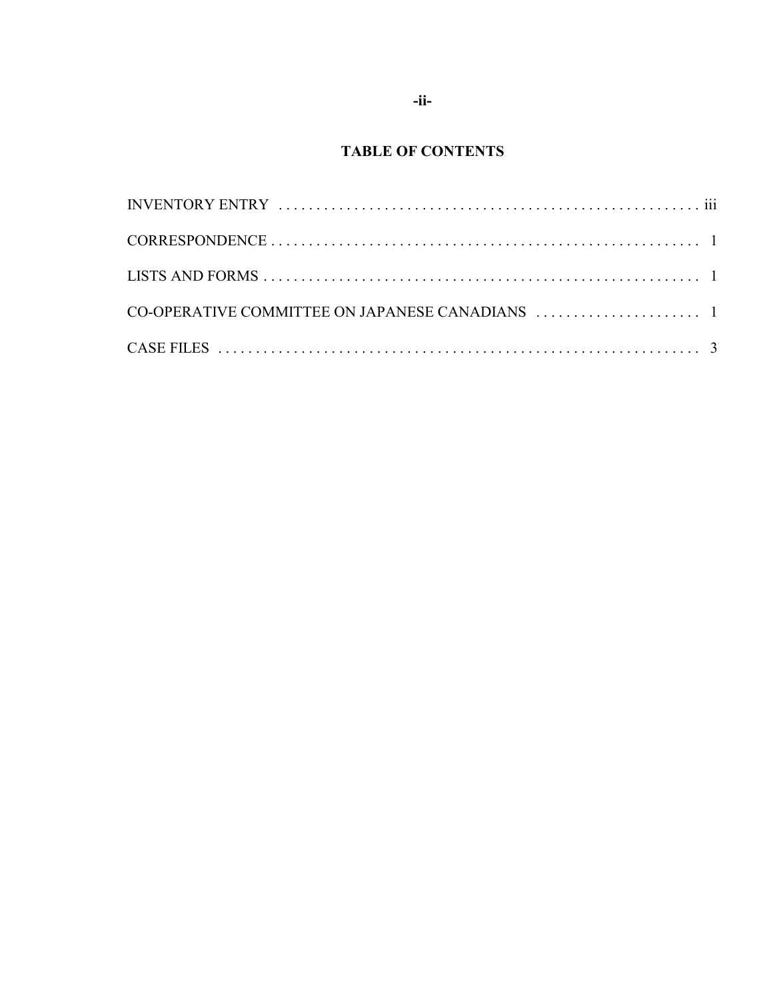## **TABLE OF CONTENTS**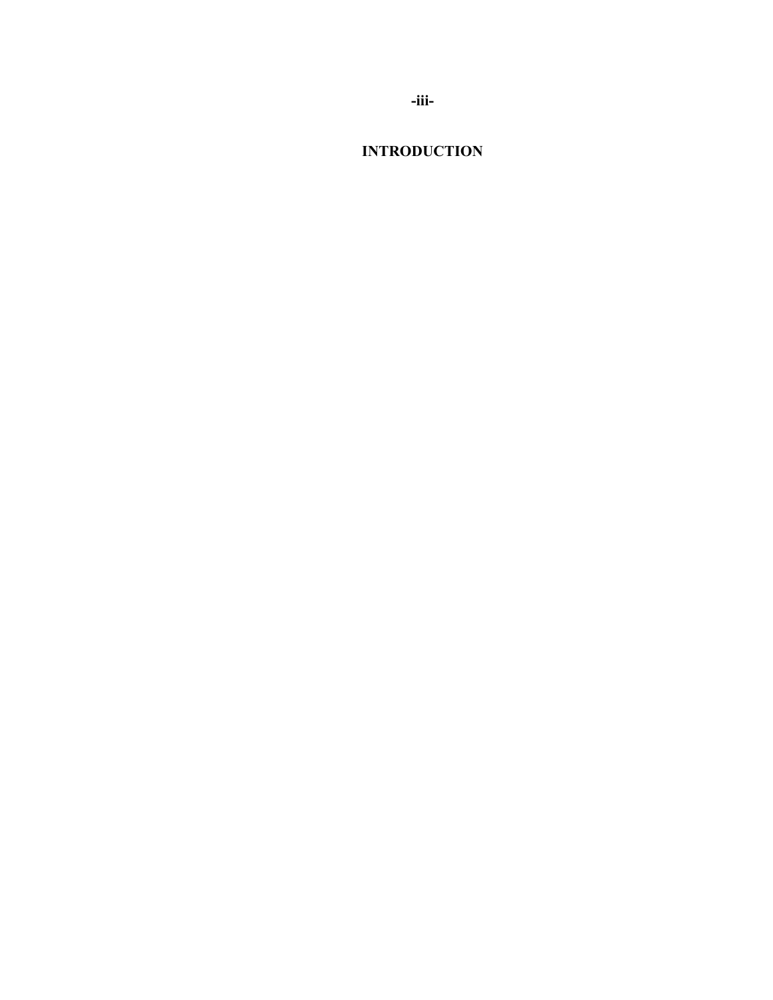**-iii-**

**INTRODUCTION**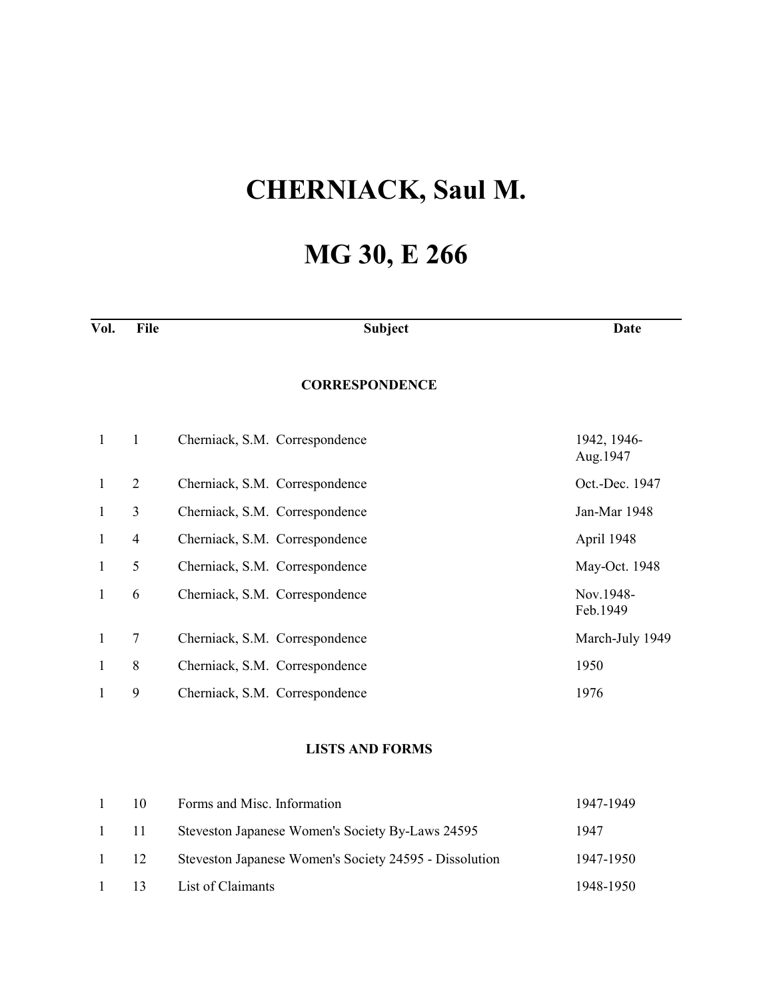## **CHERNIACK, Saul M.**

## **MG 30, E 266**

| Vol.         | File           | <b>Subject</b>                 | Date                     |
|--------------|----------------|--------------------------------|--------------------------|
|              |                | <b>CORRESPONDENCE</b>          |                          |
| $\mathbf{1}$ | $\mathbf{1}$   | Cherniack, S.M. Correspondence | 1942, 1946-<br>Aug. 1947 |
| $\mathbf{1}$ | $\overline{2}$ | Cherniack, S.M. Correspondence | Oct.-Dec. 1947           |
| 1            | 3              | Cherniack, S.M. Correspondence | Jan-Mar 1948             |
| 1            | $\overline{4}$ | Cherniack, S.M. Correspondence | April 1948               |
| $\mathbf{1}$ | 5              | Cherniack, S.M. Correspondence | May-Oct. 1948            |
| 1            | 6              | Cherniack, S.M. Correspondence | Nov.1948-<br>Feb.1949    |
| 1            | $\tau$         | Cherniack, S.M. Correspondence | March-July 1949          |
| 1            | 8              | Cherniack, S.M. Correspondence | 1950                     |
|              | 9              | Cherniack, S.M. Correspondence | 1976                     |

## **LISTS AND FORMS**

| $\mathbf{1}$ | 10           | Forms and Misc. Information                            | 1947-1949 |
|--------------|--------------|--------------------------------------------------------|-----------|
|              | $1 \quad 11$ | Steveston Japanese Women's Society By-Laws 24595       | 1947      |
| $\mathbf{1}$ | 12           | Steveston Japanese Women's Society 24595 - Dissolution | 1947-1950 |
|              | $1 \t 13$    | List of Claimants                                      | 1948-1950 |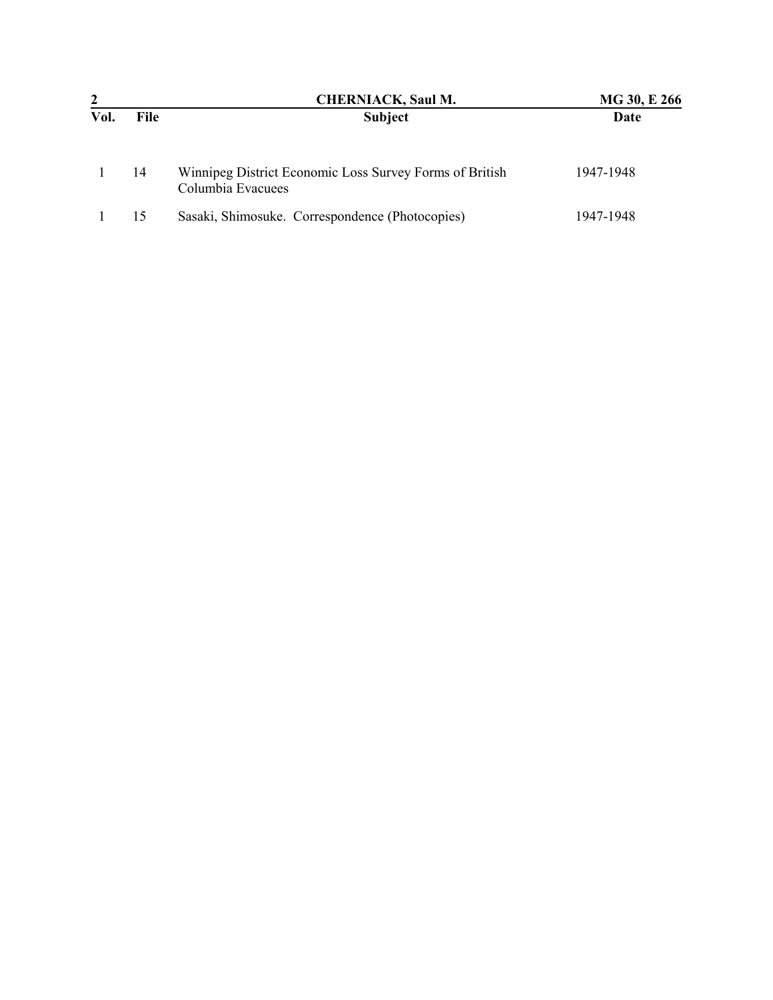|      |             | <b>CHERNIACK, Saul M.</b>                                                    | MG 30, E 266 |
|------|-------------|------------------------------------------------------------------------------|--------------|
| Vol. | <b>File</b> | Subject                                                                      | Date         |
|      | 14          | Winnipeg District Economic Loss Survey Forms of British<br>Columbia Evacuees | 1947-1948    |
|      | 15          | Sasaki, Shimosuke. Correspondence (Photocopies)                              | 1947-1948    |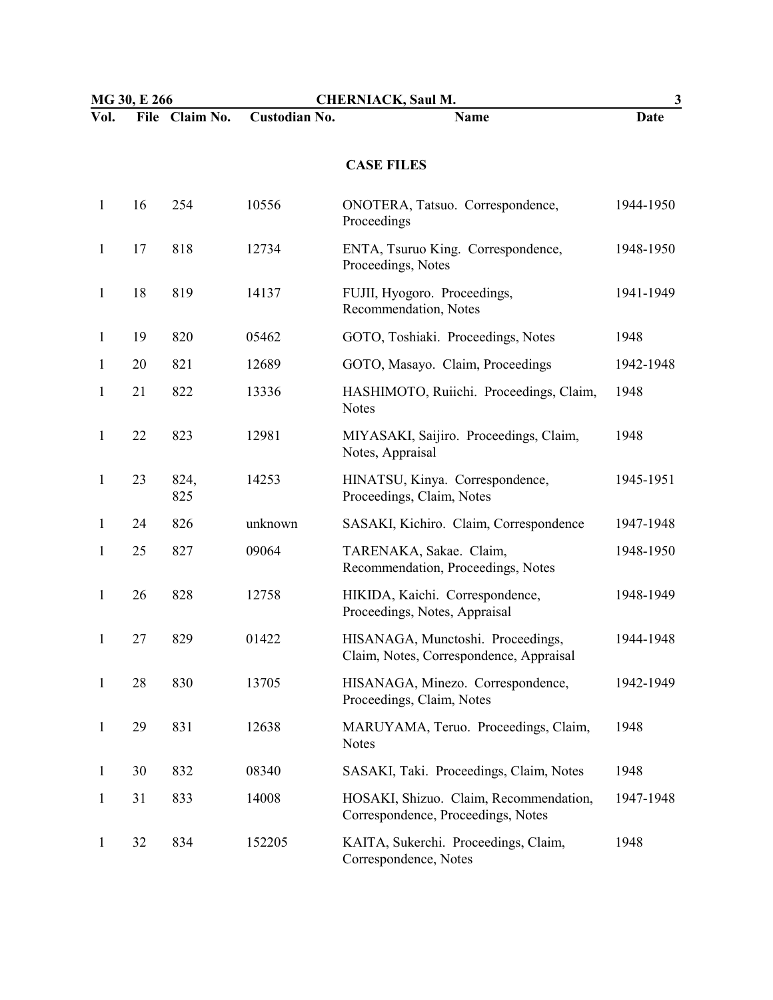| MG 30, E 266 |    |                | <b>CHERNIACK, Saul M.</b> |                                                                              | 3         |  |
|--------------|----|----------------|---------------------------|------------------------------------------------------------------------------|-----------|--|
| Vol.         |    | File Claim No. | <b>Custodian No.</b>      | Name                                                                         | Date      |  |
|              |    |                |                           | <b>CASE FILES</b>                                                            |           |  |
| 1            | 16 | 254            | 10556                     | ONOTERA, Tatsuo. Correspondence,<br>Proceedings                              | 1944-1950 |  |
| 1            | 17 | 818            | 12734                     | ENTA, Tsuruo King. Correspondence,<br>Proceedings, Notes                     | 1948-1950 |  |
| $\mathbf{1}$ | 18 | 819            | 14137                     | FUJII, Hyogoro. Proceedings,<br>Recommendation, Notes                        | 1941-1949 |  |
| 1            | 19 | 820            | 05462                     | GOTO, Toshiaki. Proceedings, Notes                                           | 1948      |  |
| 1            | 20 | 821            | 12689                     | GOTO, Masayo. Claim, Proceedings                                             | 1942-1948 |  |
| $\mathbf{1}$ | 21 | 822            | 13336                     | HASHIMOTO, Ruiichi. Proceedings, Claim,<br><b>Notes</b>                      | 1948      |  |
| 1            | 22 | 823            | 12981                     | MIYASAKI, Saijiro. Proceedings, Claim,<br>Notes, Appraisal                   | 1948      |  |
| 1            | 23 | 824,<br>825    | 14253                     | HINATSU, Kinya. Correspondence,<br>Proceedings, Claim, Notes                 | 1945-1951 |  |
| 1            | 24 | 826            | unknown                   | SASAKI, Kichiro. Claim, Correspondence                                       | 1947-1948 |  |
| 1            | 25 | 827            | 09064                     | TARENAKA, Sakae. Claim,<br>Recommendation, Proceedings, Notes                | 1948-1950 |  |
| $\mathbf{1}$ | 26 | 828            | 12758                     | HIKIDA, Kaichi. Correspondence,<br>Proceedings, Notes, Appraisal             | 1948-1949 |  |
| 1            | 27 | 829            | 01422                     | HISANAGA, Munctoshi. Proceedings,<br>Claim, Notes, Correspondence, Appraisal | 1944-1948 |  |
| 1            | 28 | 830            | 13705                     | HISANAGA, Minezo. Correspondence,<br>Proceedings, Claim, Notes               | 1942-1949 |  |
| 1            | 29 | 831            | 12638                     | MARUYAMA, Teruo. Proceedings, Claim,<br><b>Notes</b>                         | 1948      |  |
| 1            | 30 | 832            | 08340                     | SASAKI, Taki. Proceedings, Claim, Notes                                      | 1948      |  |
| 1            | 31 | 833            | 14008                     | HOSAKI, Shizuo. Claim, Recommendation,<br>Correspondence, Proceedings, Notes | 1947-1948 |  |
| 1            | 32 | 834            | 152205                    | KAITA, Sukerchi. Proceedings, Claim,<br>Correspondence, Notes                | 1948      |  |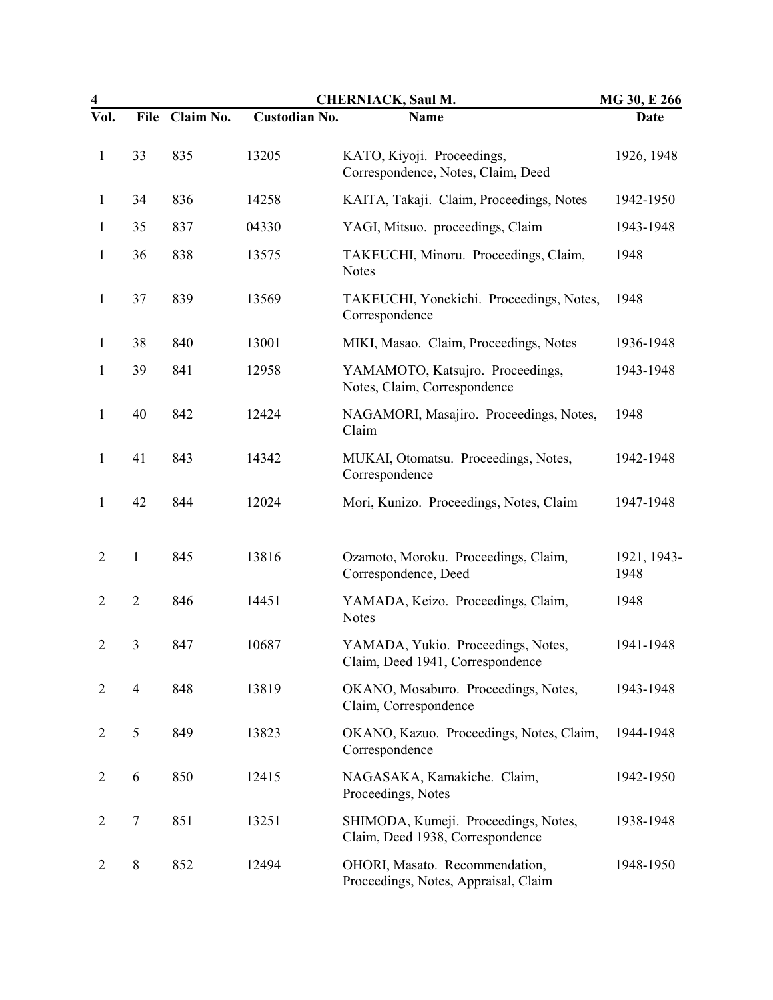| $\overline{\mathbf{4}}$ | <b>CHERNIACK, Saul M.</b><br>MG 30, E 266 |           |               |                                                                          |                     |
|-------------------------|-------------------------------------------|-----------|---------------|--------------------------------------------------------------------------|---------------------|
| Vol.                    | <b>File</b>                               | Claim No. | Custodian No. | <b>Name</b>                                                              | <b>Date</b>         |
| $\mathbf{1}$            | 33                                        | 835       | 13205         | KATO, Kiyoji. Proceedings,<br>Correspondence, Notes, Claim, Deed         | 1926, 1948          |
| $\mathbf{1}$            | 34                                        | 836       | 14258         | KAITA, Takaji. Claim, Proceedings, Notes                                 | 1942-1950           |
| 1                       | 35                                        | 837       | 04330         | YAGI, Mitsuo. proceedings, Claim                                         | 1943-1948           |
| 1                       | 36                                        | 838       | 13575         | TAKEUCHI, Minoru. Proceedings, Claim,<br><b>Notes</b>                    | 1948                |
| 1                       | 37                                        | 839       | 13569         | TAKEUCHI, Yonekichi. Proceedings, Notes,<br>Correspondence               | 1948                |
| 1                       | 38                                        | 840       | 13001         | MIKI, Masao. Claim, Proceedings, Notes                                   | 1936-1948           |
| 1                       | 39                                        | 841       | 12958         | YAMAMOTO, Katsujro. Proceedings,<br>Notes, Claim, Correspondence         | 1943-1948           |
| $\mathbf{1}$            | 40                                        | 842       | 12424         | NAGAMORI, Masajiro. Proceedings, Notes,<br>Claim                         | 1948                |
| $\mathbf{1}$            | 41                                        | 843       | 14342         | MUKAI, Otomatsu. Proceedings, Notes,<br>Correspondence                   | 1942-1948           |
| $\mathbf{1}$            | 42                                        | 844       | 12024         | Mori, Kunizo. Proceedings, Notes, Claim                                  | 1947-1948           |
| $\overline{2}$          | $\mathbf{1}$                              | 845       | 13816         | Ozamoto, Moroku. Proceedings, Claim,<br>Correspondence, Deed             | 1921, 1943-<br>1948 |
| $\overline{2}$          | $\overline{2}$                            | 846       | 14451         | YAMADA, Keizo. Proceedings, Claim,<br><b>Notes</b>                       | 1948                |
| $\overline{2}$          | 3                                         | 847       | 10687         | YAMADA, Yukio. Proceedings, Notes,<br>Claim, Deed 1941, Correspondence   | 1941-1948           |
| $\overline{2}$          | $\overline{4}$                            | 848       | 13819         | OKANO, Mosaburo. Proceedings, Notes,<br>Claim, Correspondence            | 1943-1948           |
| $\overline{2}$          | 5                                         | 849       | 13823         | OKANO, Kazuo. Proceedings, Notes, Claim,<br>Correspondence               | 1944-1948           |
| $\overline{2}$          | 6                                         | 850       | 12415         | NAGASAKA, Kamakiche. Claim,<br>Proceedings, Notes                        | 1942-1950           |
| $\overline{2}$          | 7                                         | 851       | 13251         | SHIMODA, Kumeji. Proceedings, Notes,<br>Claim, Deed 1938, Correspondence | 1938-1948           |
| $\overline{2}$          | $8\,$                                     | 852       | 12494         | OHORI, Masato. Recommendation,<br>Proceedings, Notes, Appraisal, Claim   | 1948-1950           |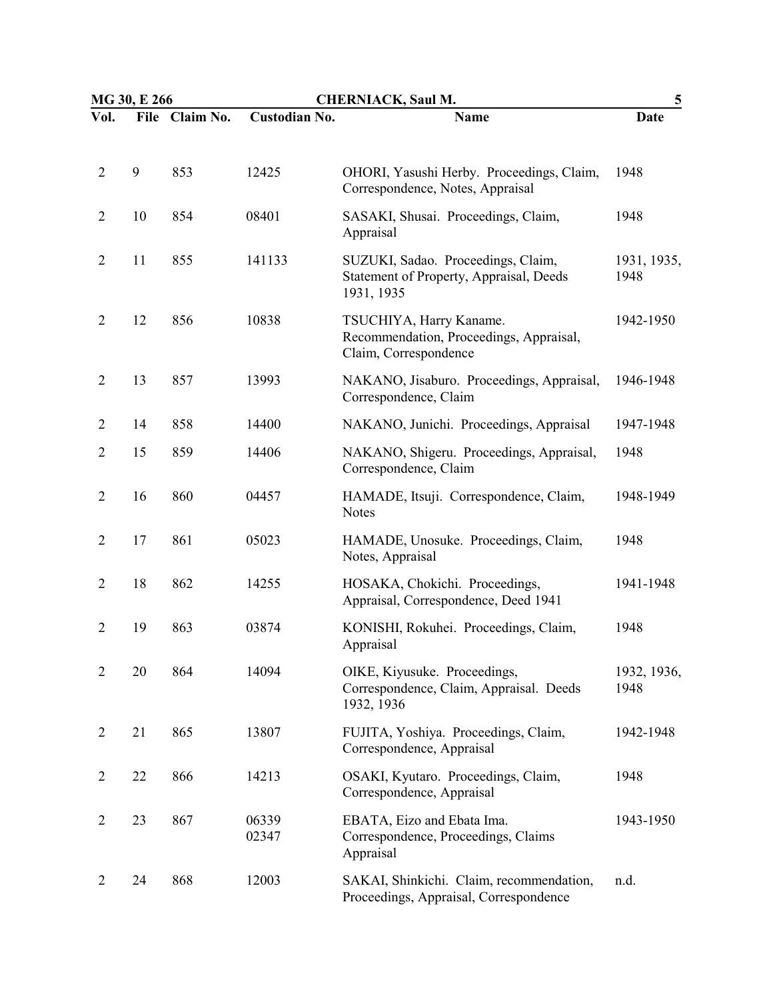| MG 30, E 266   |    |                | <b>CHERNIACK, Saul M.</b> |                                                                                             | 5                   |
|----------------|----|----------------|---------------------------|---------------------------------------------------------------------------------------------|---------------------|
| Vol.           |    | File Claim No. | <b>Custodian No.</b>      | <b>Name</b>                                                                                 | Date                |
| $\overline{2}$ | 9  | 853            | 12425                     | OHORI, Yasushi Herby. Proceedings, Claim,<br>Correspondence, Notes, Appraisal               | 1948                |
| $\overline{2}$ | 10 | 854            | 08401                     | SASAKI, Shusai. Proceedings, Claim,<br>Appraisal                                            | 1948                |
| $\overline{2}$ | 11 | 855            | 141133                    | SUZUKI, Sadao. Proceedings, Claim,<br>Statement of Property, Appraisal, Deeds<br>1931, 1935 | 1931, 1935,<br>1948 |
| $\overline{2}$ | 12 | 856            | 10838                     | TSUCHIYA, Harry Kaname.<br>Recommendation, Proceedings, Appraisal,<br>Claim, Correspondence | 1942-1950           |
| $\overline{2}$ | 13 | 857            | 13993                     | NAKANO, Jisaburo. Proceedings, Appraisal,<br>Correspondence, Claim                          | 1946-1948           |
| $\overline{2}$ | 14 | 858            | 14400                     | NAKANO, Junichi. Proceedings, Appraisal                                                     | 1947-1948           |
| $\overline{2}$ | 15 | 859            | 14406                     | NAKANO, Shigeru. Proceedings, Appraisal,<br>Correspondence, Claim                           | 1948                |
| $\overline{2}$ | 16 | 860            | 04457                     | HAMADE, Itsuji. Correspondence, Claim,<br><b>Notes</b>                                      | 1948-1949           |
| $\overline{2}$ | 17 | 861            | 05023                     | HAMADE, Unosuke. Proceedings, Claim,<br>Notes, Appraisal                                    | 1948                |
| $\overline{2}$ | 18 | 862            | 14255                     | HOSAKA, Chokichi. Proceedings,<br>Appraisal, Correspondence, Deed 1941                      | 1941-1948           |
| $\overline{2}$ | 19 | 863            | 03874                     | KONISHI, Rokuhei. Proceedings, Claim,<br>Appraisal                                          | 1948                |
| $\overline{2}$ | 20 | 864            | 14094                     | OIKE, Kiyusuke. Proceedings,<br>Correspondence, Claim, Appraisal. Deeds<br>1932, 1936       | 1932, 1936,<br>1948 |
| 2              | 21 | 865            | 13807                     | FUJITA, Yoshiya. Proceedings, Claim,<br>Correspondence, Appraisal                           | 1942-1948           |
| $\overline{2}$ | 22 | 866            | 14213                     | OSAKI, Kyutaro. Proceedings, Claim,<br>Correspondence, Appraisal                            | 1948                |
| $\overline{2}$ | 23 | 867            | 06339<br>02347            | EBATA, Eizo and Ebata Ima.<br>Correspondence, Proceedings, Claims<br>Appraisal              | 1943-1950           |
| $\overline{2}$ | 24 | 868            | 12003                     | SAKAI, Shinkichi. Claim, recommendation,<br>Proceedings, Appraisal, Correspondence          | n.d.                |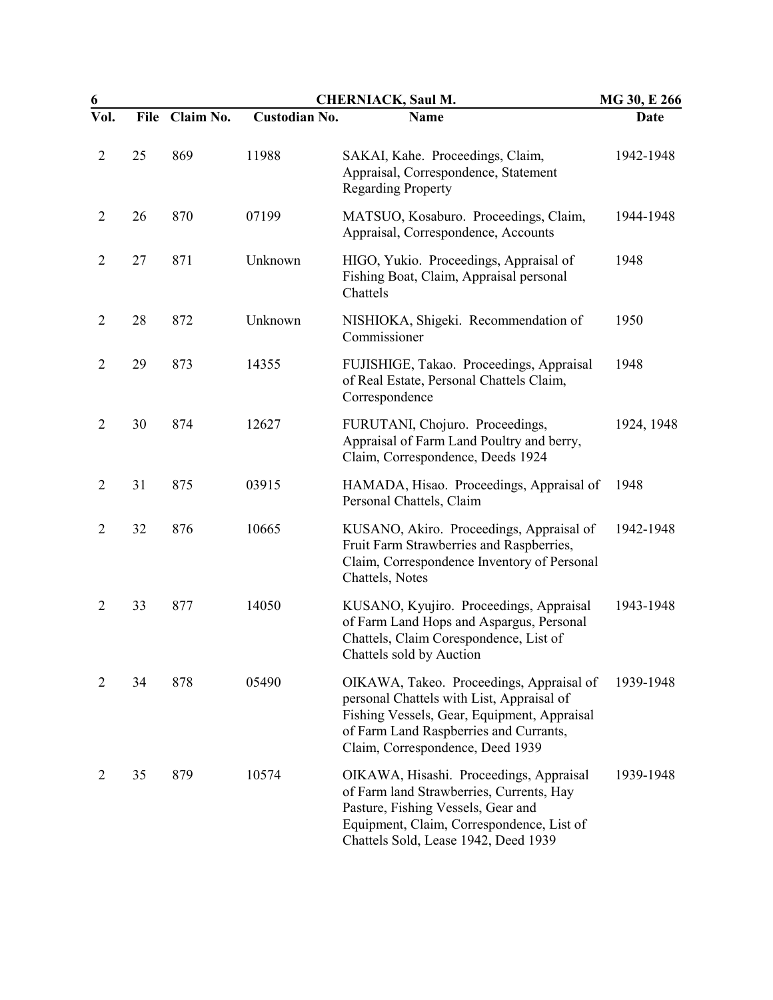| 6              |             |           | <b>CHERNIACK, Saul M.</b> |                                                                                                                                                                                                                    |            |  |
|----------------|-------------|-----------|---------------------------|--------------------------------------------------------------------------------------------------------------------------------------------------------------------------------------------------------------------|------------|--|
| Vol.           | <b>File</b> | Claim No. | <b>Custodian No.</b>      | Name                                                                                                                                                                                                               | Date       |  |
| $\overline{2}$ | 25          | 869       | 11988                     | SAKAI, Kahe. Proceedings, Claim,<br>Appraisal, Correspondence, Statement<br><b>Regarding Property</b>                                                                                                              | 1942-1948  |  |
| $\overline{2}$ | 26          | 870       | 07199                     | MATSUO, Kosaburo. Proceedings, Claim,<br>Appraisal, Correspondence, Accounts                                                                                                                                       | 1944-1948  |  |
| $\overline{2}$ | 27          | 871       | Unknown                   | HIGO, Yukio. Proceedings, Appraisal of<br>Fishing Boat, Claim, Appraisal personal<br>Chattels                                                                                                                      | 1948       |  |
| $\overline{2}$ | 28          | 872       | Unknown                   | NISHIOKA, Shigeki. Recommendation of<br>Commissioner                                                                                                                                                               | 1950       |  |
| $\overline{2}$ | 29          | 873       | 14355                     | FUJISHIGE, Takao. Proceedings, Appraisal<br>of Real Estate, Personal Chattels Claim,<br>Correspondence                                                                                                             | 1948       |  |
| $\overline{2}$ | 30          | 874       | 12627                     | FURUTANI, Chojuro. Proceedings,<br>Appraisal of Farm Land Poultry and berry,<br>Claim, Correspondence, Deeds 1924                                                                                                  | 1924, 1948 |  |
| $\overline{2}$ | 31          | 875       | 03915                     | HAMADA, Hisao. Proceedings, Appraisal of<br>Personal Chattels, Claim                                                                                                                                               | 1948       |  |
| $\overline{2}$ | 32          | 876       | 10665                     | KUSANO, Akiro. Proceedings, Appraisal of<br>Fruit Farm Strawberries and Raspberries,<br>Claim, Correspondence Inventory of Personal<br>Chattels, Notes                                                             | 1942-1948  |  |
| $\overline{2}$ | 33          | 877       | 14050                     | KUSANO, Kyujiro. Proceedings, Appraisal<br>of Farm Land Hops and Aspargus, Personal<br>Chattels, Claim Corespondence, List of<br>Chattels sold by Auction                                                          | 1943-1948  |  |
| $\overline{2}$ | 34          | 878       | 05490                     | OIKAWA, Takeo. Proceedings, Appraisal of<br>personal Chattels with List, Appraisal of<br>Fishing Vessels, Gear, Equipment, Appraisal<br>of Farm Land Raspberries and Currants,<br>Claim, Correspondence, Deed 1939 | 1939-1948  |  |
| 2              | 35          | 879       | 10574                     | OIKAWA, Hisashi. Proceedings, Appraisal<br>of Farm land Strawberries, Currents, Hay<br>Pasture, Fishing Vessels, Gear and<br>Equipment, Claim, Correspondence, List of<br>Chattels Sold, Lease 1942, Deed 1939     | 1939-1948  |  |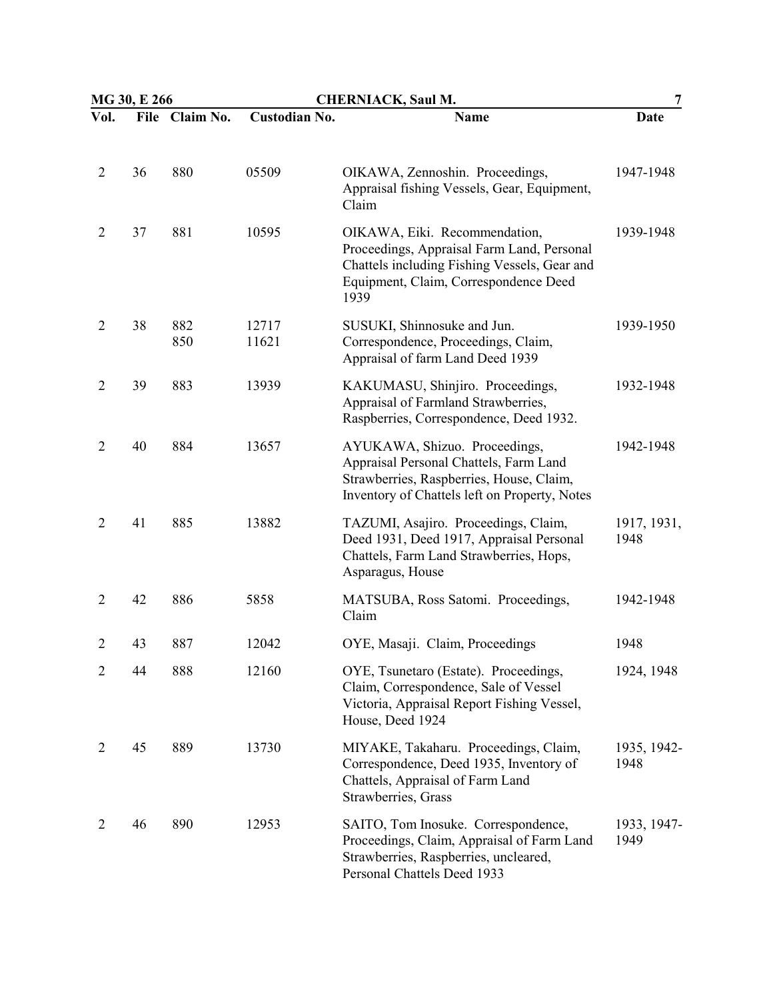| MG 30, E 266   |    |                | <b>CHERNIACK, Saul M.</b> |                                                                                                                                                                              | 7                   |
|----------------|----|----------------|---------------------------|------------------------------------------------------------------------------------------------------------------------------------------------------------------------------|---------------------|
| Vol.           |    | File Claim No. | <b>Custodian No.</b>      | <b>Name</b>                                                                                                                                                                  | Date                |
| $\overline{2}$ | 36 | 880            | 05509                     | OIKAWA, Zennoshin. Proceedings,<br>Appraisal fishing Vessels, Gear, Equipment,<br>Claim                                                                                      | 1947-1948           |
| $\overline{2}$ | 37 | 881            | 10595                     | OIKAWA, Eiki. Recommendation,<br>Proceedings, Appraisal Farm Land, Personal<br>Chattels including Fishing Vessels, Gear and<br>Equipment, Claim, Correspondence Deed<br>1939 | 1939-1948           |
| $\overline{2}$ | 38 | 882<br>850     | 12717<br>11621            | SUSUKI, Shinnosuke and Jun.<br>Correspondence, Proceedings, Claim,<br>Appraisal of farm Land Deed 1939                                                                       | 1939-1950           |
| $\overline{2}$ | 39 | 883            | 13939                     | KAKUMASU, Shinjiro. Proceedings,<br>Appraisal of Farmland Strawberries,<br>Raspberries, Correspondence, Deed 1932.                                                           | 1932-1948           |
| $\overline{2}$ | 40 | 884            | 13657                     | AYUKAWA, Shizuo. Proceedings,<br>Appraisal Personal Chattels, Farm Land<br>Strawberries, Raspberries, House, Claim,<br>Inventory of Chattels left on Property, Notes         | 1942-1948           |
| $\overline{2}$ | 41 | 885            | 13882                     | TAZUMI, Asajiro. Proceedings, Claim,<br>Deed 1931, Deed 1917, Appraisal Personal<br>Chattels, Farm Land Strawberries, Hops,<br>Asparagus, House                              | 1917, 1931,<br>1948 |
| $\overline{2}$ | 42 | 886            | 5858                      | MATSUBA, Ross Satomi. Proceedings,<br>Claim                                                                                                                                  | 1942-1948           |
| $\overline{2}$ | 43 | 887            | 12042                     | OYE, Masaji. Claim, Proceedings                                                                                                                                              | 1948                |
| 2              | 44 | 888            | 12160                     | OYE, Tsunetaro (Estate). Proceedings,<br>Claim, Correspondence, Sale of Vessel<br>Victoria, Appraisal Report Fishing Vessel,<br>House, Deed 1924                             | 1924, 1948          |
| 2              | 45 | 889            | 13730                     | MIYAKE, Takaharu. Proceedings, Claim,<br>Correspondence, Deed 1935, Inventory of<br>Chattels, Appraisal of Farm Land<br>Strawberries, Grass                                  | 1935, 1942-<br>1948 |
| 2              | 46 | 890            | 12953                     | SAITO, Tom Inosuke. Correspondence,<br>Proceedings, Claim, Appraisal of Farm Land<br>Strawberries, Raspberries, uncleared,<br>Personal Chattels Deed 1933                    | 1933, 1947-<br>1949 |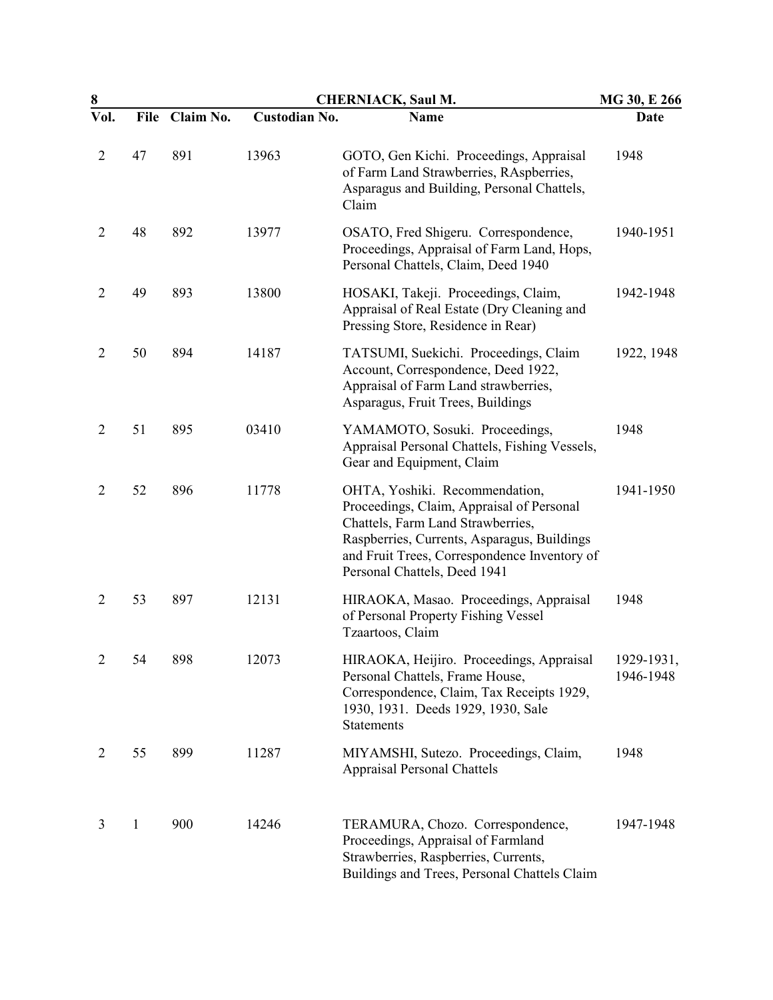| 8              |              |           | <b>CHERNIACK, Saul M.</b> |                                                                                                                                                                                                                                                 |                         |
|----------------|--------------|-----------|---------------------------|-------------------------------------------------------------------------------------------------------------------------------------------------------------------------------------------------------------------------------------------------|-------------------------|
| Vol.           | File         | Claim No. | <b>Custodian No.</b>      | Name                                                                                                                                                                                                                                            | Date                    |
| $\overline{2}$ | 47           | 891       | 13963                     | GOTO, Gen Kichi. Proceedings, Appraisal<br>of Farm Land Strawberries, RAspberries,<br>Asparagus and Building, Personal Chattels,<br>Claim                                                                                                       | 1948                    |
| $\overline{2}$ | 48           | 892       | 13977                     | OSATO, Fred Shigeru. Correspondence,<br>Proceedings, Appraisal of Farm Land, Hops,<br>Personal Chattels, Claim, Deed 1940                                                                                                                       | 1940-1951               |
| $\overline{2}$ | 49           | 893       | 13800                     | HOSAKI, Takeji. Proceedings, Claim,<br>Appraisal of Real Estate (Dry Cleaning and<br>Pressing Store, Residence in Rear)                                                                                                                         | 1942-1948               |
| $\overline{2}$ | 50           | 894       | 14187                     | TATSUMI, Suekichi. Proceedings, Claim<br>Account, Correspondence, Deed 1922,<br>Appraisal of Farm Land strawberries,<br>Asparagus, Fruit Trees, Buildings                                                                                       | 1922, 1948              |
| $\overline{2}$ | 51           | 895       | 03410                     | YAMAMOTO, Sosuki. Proceedings,<br>Appraisal Personal Chattels, Fishing Vessels,<br>Gear and Equipment, Claim                                                                                                                                    | 1948                    |
| $\overline{2}$ | 52           | 896       | 11778                     | OHTA, Yoshiki. Recommendation,<br>Proceedings, Claim, Appraisal of Personal<br>Chattels, Farm Land Strawberries,<br>Raspberries, Currents, Asparagus, Buildings<br>and Fruit Trees, Correspondence Inventory of<br>Personal Chattels, Deed 1941 | 1941-1950               |
| $\overline{2}$ | 53           | 897       | 12131                     | HIRAOKA, Masao. Proceedings, Appraisal<br>of Personal Property Fishing Vessel<br>Tzaartoos, Claim                                                                                                                                               | 1948                    |
| $\overline{c}$ | 54           | 898       | 12073                     | HIRAOKA, Heijiro. Proceedings, Appraisal<br>Personal Chattels, Frame House,<br>Correspondence, Claim, Tax Receipts 1929,<br>1930, 1931. Deeds 1929, 1930, Sale<br><b>Statements</b>                                                             | 1929-1931,<br>1946-1948 |
| 2              | 55           | 899       | 11287                     | MIYAMSHI, Sutezo. Proceedings, Claim,<br><b>Appraisal Personal Chattels</b>                                                                                                                                                                     | 1948                    |
| 3              | $\mathbf{1}$ | 900       | 14246                     | TERAMURA, Chozo. Correspondence,<br>Proceedings, Appraisal of Farmland<br>Strawberries, Raspberries, Currents,<br>Buildings and Trees, Personal Chattels Claim                                                                                  | 1947-1948               |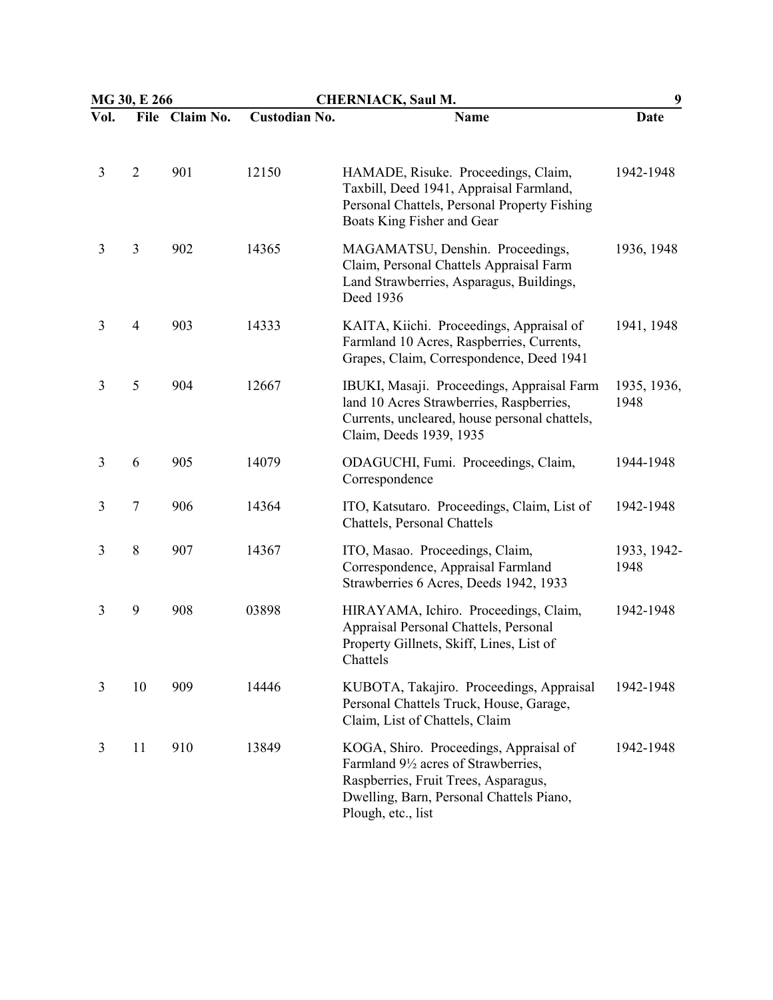| MG 30, E 266 |                |                | <b>CHERNIACK, Saul M.</b> |                                                                                                                                                                                                                   | 9                   |  |
|--------------|----------------|----------------|---------------------------|-------------------------------------------------------------------------------------------------------------------------------------------------------------------------------------------------------------------|---------------------|--|
| Vol.         |                | File Claim No. | <b>Custodian No.</b>      | Name                                                                                                                                                                                                              | Date                |  |
| 3            | $\overline{2}$ | 901            | 12150                     | HAMADE, Risuke. Proceedings, Claim,<br>Taxbill, Deed 1941, Appraisal Farmland,<br>Personal Chattels, Personal Property Fishing<br>Boats King Fisher and Gear                                                      | 1942-1948           |  |
| 3            | 3              | 902            | 14365                     | MAGAMATSU, Denshin. Proceedings,<br>Claim, Personal Chattels Appraisal Farm<br>Land Strawberries, Asparagus, Buildings,<br>Deed 1936                                                                              | 1936, 1948          |  |
| 3            | $\overline{4}$ | 903            | 14333                     | KAITA, Kiichi. Proceedings, Appraisal of<br>Farmland 10 Acres, Raspberries, Currents,<br>Grapes, Claim, Correspondence, Deed 1941                                                                                 | 1941, 1948          |  |
| 3            | 5              | 904            | 12667                     | IBUKI, Masaji. Proceedings, Appraisal Farm<br>land 10 Acres Strawberries, Raspberries,<br>Currents, uncleared, house personal chattels,<br>Claim, Deeds 1939, 1935                                                | 1935, 1936,<br>1948 |  |
| 3            | 6              | 905            | 14079                     | ODAGUCHI, Fumi. Proceedings, Claim,<br>Correspondence                                                                                                                                                             | 1944-1948           |  |
| 3            | $\tau$         | 906            | 14364                     | ITO, Katsutaro. Proceedings, Claim, List of<br>Chattels, Personal Chattels                                                                                                                                        | 1942-1948           |  |
| 3            | 8              | 907            | 14367                     | ITO, Masao. Proceedings, Claim,<br>Correspondence, Appraisal Farmland<br>Strawberries 6 Acres, Deeds 1942, 1933                                                                                                   | 1933, 1942-<br>1948 |  |
| 3            | 9              | 908            | 03898                     | HIRAYAMA, Ichiro. Proceedings, Claim,<br>Appraisal Personal Chattels, Personal<br>Property Gillnets, Skiff, Lines, List of<br>Chattels                                                                            | 1942-1948           |  |
| 3            | 10             | 909            | 14446                     | KUBOTA, Takajiro. Proceedings, Appraisal<br>Personal Chattels Truck, House, Garage,<br>Claim, List of Chattels, Claim                                                                                             | 1942-1948           |  |
| 3            | 11             | 910            | 13849                     | KOGA, Shiro. Proceedings, Appraisal of<br>Farmland 9 <sup>1</sup> / <sub>2</sub> acres of Strawberries,<br>Raspberries, Fruit Trees, Asparagus,<br>Dwelling, Barn, Personal Chattels Piano,<br>Plough, etc., list | 1942-1948           |  |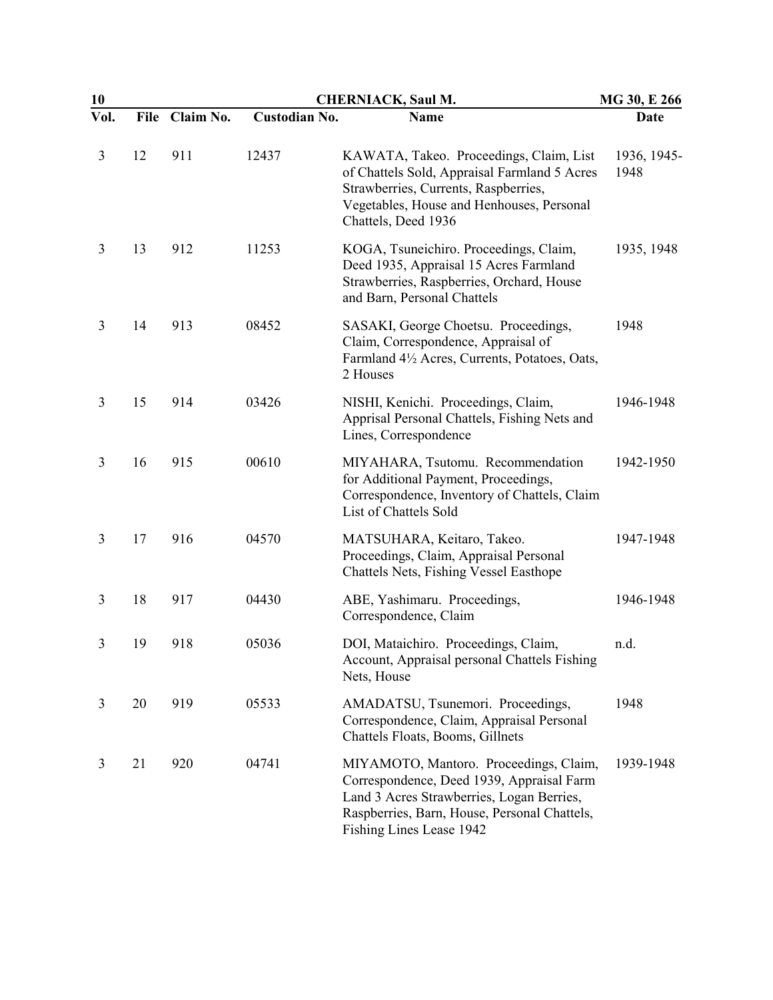| 10   |      |           |                      | <b>CHERNIACK, Saul M.</b>                                                                                                                                                                                    | MG 30, E 266        |
|------|------|-----------|----------------------|--------------------------------------------------------------------------------------------------------------------------------------------------------------------------------------------------------------|---------------------|
| Vol. | File | Claim No. | <b>Custodian No.</b> | Name                                                                                                                                                                                                         | Date                |
| 3    | 12   | 911       | 12437                | KAWATA, Takeo. Proceedings, Claim, List<br>of Chattels Sold, Appraisal Farmland 5 Acres<br>Strawberries, Currents, Raspberries,<br>Vegetables, House and Henhouses, Personal<br>Chattels, Deed 1936          | 1936, 1945-<br>1948 |
| 3    | 13   | 912       | 11253                | KOGA, Tsuneichiro. Proceedings, Claim,<br>Deed 1935, Appraisal 15 Acres Farmland<br>Strawberries, Raspberries, Orchard, House<br>and Barn, Personal Chattels                                                 | 1935, 1948          |
| 3    | 14   | 913       | 08452                | SASAKI, George Choetsu. Proceedings,<br>Claim, Correspondence, Appraisal of<br>Farmland 4½ Acres, Currents, Potatoes, Oats,<br>2 Houses                                                                      | 1948                |
| 3    | 15   | 914       | 03426                | NISHI, Kenichi. Proceedings, Claim,<br>Apprisal Personal Chattels, Fishing Nets and<br>Lines, Correspondence                                                                                                 | 1946-1948           |
| 3    | 16   | 915       | 00610                | MIYAHARA, Tsutomu. Recommendation<br>for Additional Payment, Proceedings,<br>Correspondence, Inventory of Chattels, Claim<br>List of Chattels Sold                                                           | 1942-1950           |
| 3    | 17   | 916       | 04570                | MATSUHARA, Keitaro, Takeo.<br>Proceedings, Claim, Appraisal Personal<br>Chattels Nets, Fishing Vessel Easthope                                                                                               | 1947-1948           |
| 3    | 18   | 917       | 04430                | ABE, Yashimaru. Proceedings,<br>Correspondence, Claim                                                                                                                                                        | 1946-1948           |
| 3    | 19   | 918       | 05036                | DOI, Mataichiro. Proceedings, Claim,<br>Account, Appraisal personal Chattels Fishing<br>Nets, House                                                                                                          | n.d.                |
| 3    | 20   | 919       | 05533                | AMADATSU, Tsunemori. Proceedings,<br>Correspondence, Claim, Appraisal Personal<br>Chattels Floats, Booms, Gillnets                                                                                           | 1948                |
| 3    | 21   | 920       | 04741                | MIYAMOTO, Mantoro. Proceedings, Claim,<br>Correspondence, Deed 1939, Appraisal Farm<br>Land 3 Acres Strawberries, Logan Berries,<br>Raspberries, Barn, House, Personal Chattels,<br>Fishing Lines Lease 1942 | 1939-1948           |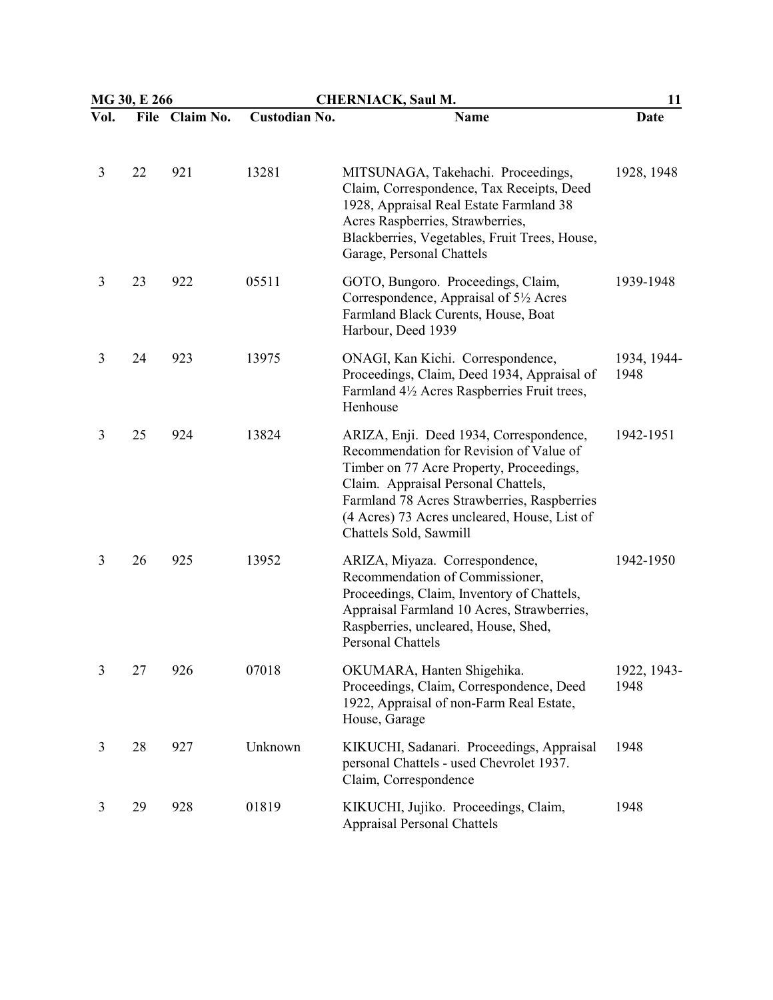|      | MG 30, E 266 |                | <b>CHERNIACK, Saul M.</b> |                                                                                                                                                                                                                                                                                                | 11                  |
|------|--------------|----------------|---------------------------|------------------------------------------------------------------------------------------------------------------------------------------------------------------------------------------------------------------------------------------------------------------------------------------------|---------------------|
| Vol. |              | File Claim No. | <b>Custodian No.</b>      | <b>Name</b>                                                                                                                                                                                                                                                                                    | Date                |
| 3    | 22           | 921            | 13281                     | MITSUNAGA, Takehachi. Proceedings,<br>Claim, Correspondence, Tax Receipts, Deed<br>1928, Appraisal Real Estate Farmland 38<br>Acres Raspberries, Strawberries,<br>Blackberries, Vegetables, Fruit Trees, House,<br>Garage, Personal Chattels                                                   | 1928, 1948          |
| 3    | 23           | 922            | 05511                     | GOTO, Bungoro. Proceedings, Claim,<br>Correspondence, Appraisal of 5 <sup>1</sup> / <sub>2</sub> Acres<br>Farmland Black Curents, House, Boat<br>Harbour, Deed 1939                                                                                                                            | 1939-1948           |
| 3    | 24           | 923            | 13975                     | ONAGI, Kan Kichi. Correspondence,<br>Proceedings, Claim, Deed 1934, Appraisal of<br>Farmland 4½ Acres Raspberries Fruit trees,<br>Henhouse                                                                                                                                                     | 1934, 1944-<br>1948 |
| 3    | 25           | 924            | 13824                     | ARIZA, Enji. Deed 1934, Correspondence,<br>Recommendation for Revision of Value of<br>Timber on 77 Acre Property, Proceedings,<br>Claim. Appraisal Personal Chattels,<br>Farmland 78 Acres Strawberries, Raspberries<br>(4 Acres) 73 Acres uncleared, House, List of<br>Chattels Sold, Sawmill | 1942-1951           |
| 3    | 26           | 925            | 13952                     | ARIZA, Miyaza. Correspondence,<br>Recommendation of Commissioner,<br>Proceedings, Claim, Inventory of Chattels,<br>Appraisal Farmland 10 Acres, Strawberries,<br>Raspberries, uncleared, House, Shed,<br>Personal Chattels                                                                     | 1942-1950           |
| 3    | 27           | 926            | 07018                     | OKUMARA, Hanten Shigehika.<br>Proceedings, Claim, Correspondence, Deed<br>1922, Appraisal of non-Farm Real Estate,<br>House, Garage                                                                                                                                                            | 1922, 1943-<br>1948 |
| 3    | 28           | 927            | Unknown                   | KIKUCHI, Sadanari. Proceedings, Appraisal<br>personal Chattels - used Chevrolet 1937.<br>Claim, Correspondence                                                                                                                                                                                 | 1948                |
| 3    | 29           | 928            | 01819                     | KIKUCHI, Jujiko. Proceedings, Claim,<br><b>Appraisal Personal Chattels</b>                                                                                                                                                                                                                     | 1948                |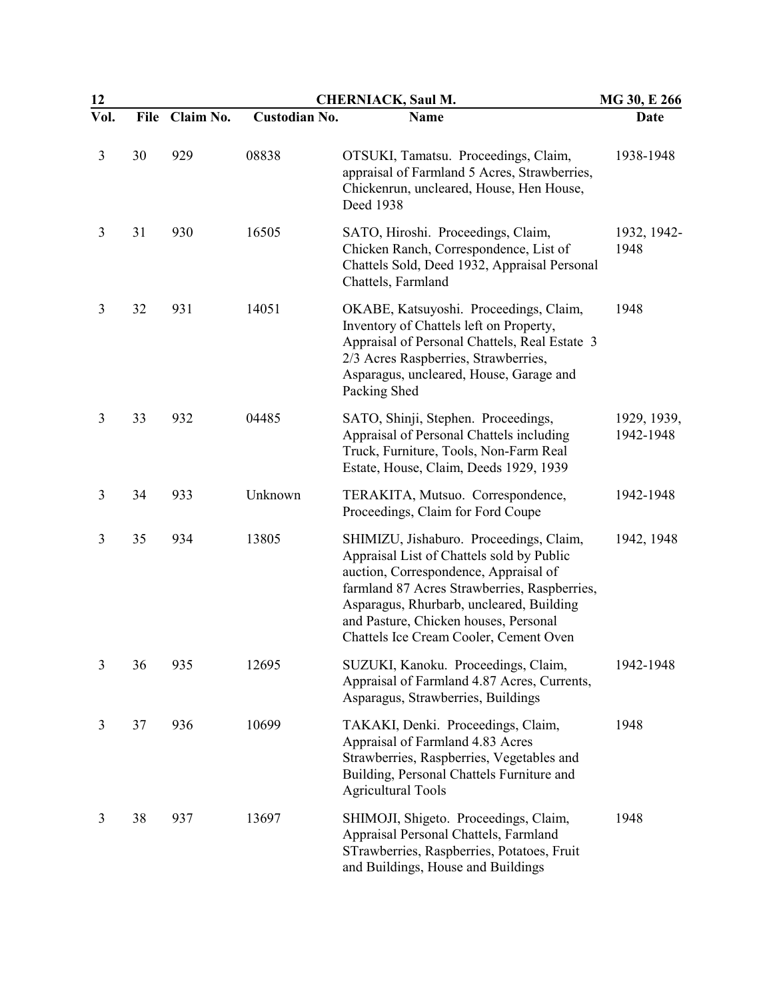| 12             |      | <b>CHERNIACK, Saul M.</b> |                      |                                                                                                                                                                                                                                                                                                              | MG 30, E 266             |
|----------------|------|---------------------------|----------------------|--------------------------------------------------------------------------------------------------------------------------------------------------------------------------------------------------------------------------------------------------------------------------------------------------------------|--------------------------|
| Vol.           | File | Claim No.                 | <b>Custodian No.</b> | <b>Name</b>                                                                                                                                                                                                                                                                                                  | Date                     |
| 3              | 30   | 929                       | 08838                | OTSUKI, Tamatsu. Proceedings, Claim,<br>appraisal of Farmland 5 Acres, Strawberries,<br>Chickenrun, uncleared, House, Hen House,<br>Deed 1938                                                                                                                                                                | 1938-1948                |
| 3              | 31   | 930                       | 16505                | SATO, Hiroshi. Proceedings, Claim,<br>Chicken Ranch, Correspondence, List of<br>Chattels Sold, Deed 1932, Appraisal Personal<br>Chattels, Farmland                                                                                                                                                           | 1932, 1942-<br>1948      |
| 3              | 32   | 931                       | 14051                | OKABE, Katsuyoshi. Proceedings, Claim,<br>Inventory of Chattels left on Property,<br>Appraisal of Personal Chattels, Real Estate 3<br>2/3 Acres Raspberries, Strawberries,<br>Asparagus, uncleared, House, Garage and<br>Packing Shed                                                                        | 1948                     |
| 3              | 33   | 932                       | 04485                | SATO, Shinji, Stephen. Proceedings,<br>Appraisal of Personal Chattels including<br>Truck, Furniture, Tools, Non-Farm Real<br>Estate, House, Claim, Deeds 1929, 1939                                                                                                                                          | 1929, 1939,<br>1942-1948 |
| 3              | 34   | 933                       | Unknown              | TERAKITA, Mutsuo. Correspondence,<br>Proceedings, Claim for Ford Coupe                                                                                                                                                                                                                                       | 1942-1948                |
| 3              | 35   | 934                       | 13805                | SHIMIZU, Jishaburo. Proceedings, Claim,<br>Appraisal List of Chattels sold by Public<br>auction, Correspondence, Appraisal of<br>farmland 87 Acres Strawberries, Raspberries,<br>Asparagus, Rhurbarb, uncleared, Building<br>and Pasture, Chicken houses, Personal<br>Chattels Ice Cream Cooler, Cement Oven | 1942, 1948               |
| $\overline{3}$ | 36   | 935                       | 12695                | SUZUKI, Kanoku. Proceedings, Claim,<br>Appraisal of Farmland 4.87 Acres, Currents,<br>Asparagus, Strawberries, Buildings                                                                                                                                                                                     | 1942-1948                |
| 3              | 37   | 936                       | 10699                | TAKAKI, Denki. Proceedings, Claim,<br>Appraisal of Farmland 4.83 Acres<br>Strawberries, Raspberries, Vegetables and<br>Building, Personal Chattels Furniture and<br><b>Agricultural Tools</b>                                                                                                                | 1948                     |
| 3              | 38   | 937                       | 13697                | SHIMOJI, Shigeto. Proceedings, Claim,<br>Appraisal Personal Chattels, Farmland<br>STrawberries, Raspberries, Potatoes, Fruit<br>and Buildings, House and Buildings                                                                                                                                           | 1948                     |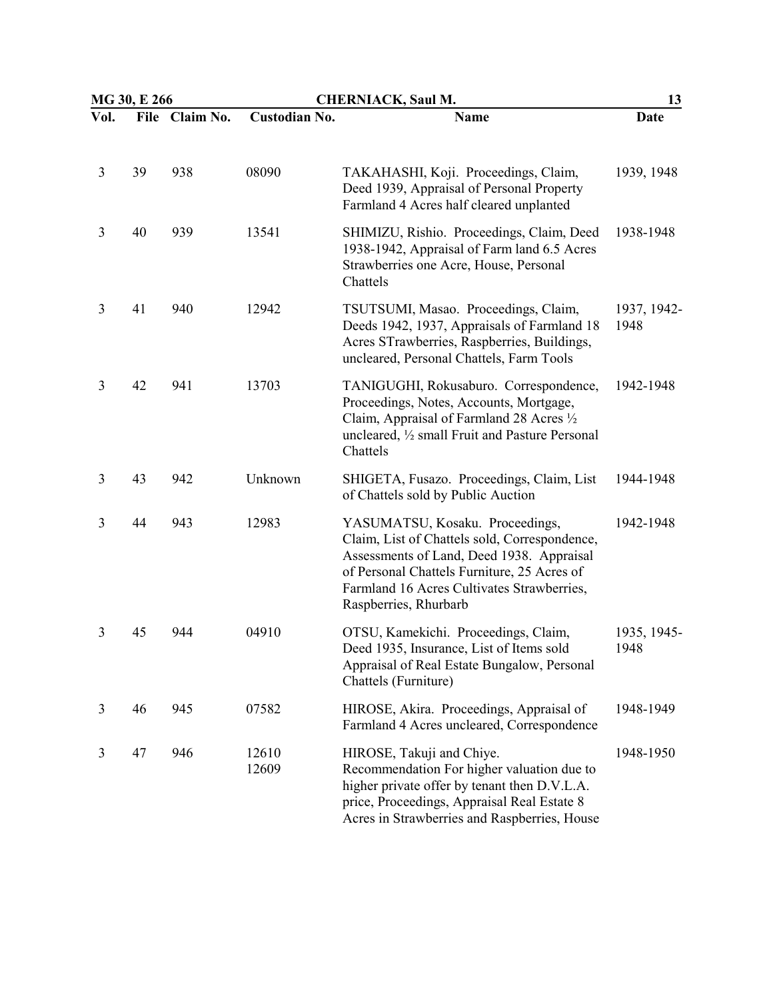|      | MG 30, E 266 |                | <b>CHERNIACK, Saul M.</b> |                                                                                                                                                                                                                                                     | 13                  |  |
|------|--------------|----------------|---------------------------|-----------------------------------------------------------------------------------------------------------------------------------------------------------------------------------------------------------------------------------------------------|---------------------|--|
| Vol. |              | File Claim No. | <b>Custodian No.</b>      | <b>Name</b>                                                                                                                                                                                                                                         | Date                |  |
| 3    | 39           | 938            | 08090                     | TAKAHASHI, Koji. Proceedings, Claim,<br>Deed 1939, Appraisal of Personal Property<br>Farmland 4 Acres half cleared unplanted                                                                                                                        | 1939, 1948          |  |
| 3    | 40           | 939            | 13541                     | SHIMIZU, Rishio. Proceedings, Claim, Deed<br>1938-1942, Appraisal of Farm land 6.5 Acres<br>Strawberries one Acre, House, Personal<br>Chattels                                                                                                      | 1938-1948           |  |
| 3    | 41           | 940            | 12942                     | TSUTSUMI, Masao. Proceedings, Claim,<br>Deeds 1942, 1937, Appraisals of Farmland 18<br>Acres STrawberries, Raspberries, Buildings,<br>uncleared, Personal Chattels, Farm Tools                                                                      | 1937, 1942-<br>1948 |  |
| 3    | 42           | 941            | 13703                     | TANIGUGHI, Rokusaburo. Correspondence,<br>Proceedings, Notes, Accounts, Mortgage,<br>Claim, Appraisal of Farmland 28 Acres 1/2<br>uncleared, 1/2 small Fruit and Pasture Personal<br>Chattels                                                       | 1942-1948           |  |
| 3    | 43           | 942            | Unknown                   | SHIGETA, Fusazo. Proceedings, Claim, List<br>of Chattels sold by Public Auction                                                                                                                                                                     | 1944-1948           |  |
| 3    | 44           | 943            | 12983                     | YASUMATSU, Kosaku. Proceedings,<br>Claim, List of Chattels sold, Correspondence,<br>Assessments of Land, Deed 1938. Appraisal<br>of Personal Chattels Furniture, 25 Acres of<br>Farmland 16 Acres Cultivates Strawberries,<br>Raspberries, Rhurbarb | 1942-1948           |  |
| 3    | 45           | 944            | 04910                     | OTSU, Kamekichi. Proceedings, Claim,<br>Deed 1935, Insurance, List of Items sold<br>Appraisal of Real Estate Bungalow, Personal<br>Chattels (Furniture)                                                                                             | 1935, 1945-<br>1948 |  |
| 3    | 46           | 945            | 07582                     | HIROSE, Akira. Proceedings, Appraisal of<br>Farmland 4 Acres uncleared, Correspondence                                                                                                                                                              | 1948-1949           |  |
| 3    | 47           | 946            | 12610<br>12609            | HIROSE, Takuji and Chiye.<br>Recommendation For higher valuation due to<br>higher private offer by tenant then D.V.L.A.<br>price, Proceedings, Appraisal Real Estate 8<br>Acres in Strawberries and Raspberries, House                              | 1948-1950           |  |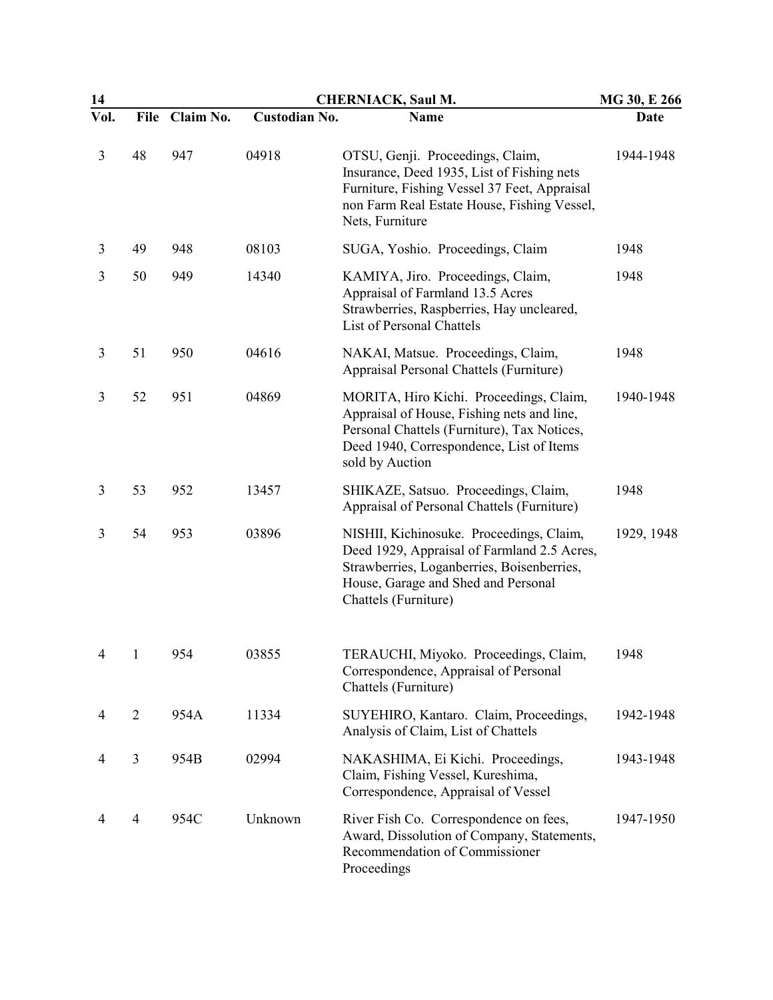| 14   |                |           |               | <b>CHERNIACK, Saul M.</b>                                                                                                                                                                            | MG 30, E 266 |  |
|------|----------------|-----------|---------------|------------------------------------------------------------------------------------------------------------------------------------------------------------------------------------------------------|--------------|--|
| Vol. | <b>File</b>    | Claim No. | Custodian No. | <b>Name</b>                                                                                                                                                                                          | Date         |  |
| 3    | 48             | 947       | 04918         | OTSU, Genji. Proceedings, Claim,<br>Insurance, Deed 1935, List of Fishing nets<br>Furniture, Fishing Vessel 37 Feet, Appraisal<br>non Farm Real Estate House, Fishing Vessel,<br>Nets, Furniture     | 1944-1948    |  |
| 3    | 49             | 948       | 08103         | SUGA, Yoshio. Proceedings, Claim                                                                                                                                                                     | 1948         |  |
| 3    | 50             | 949       | 14340         | KAMIYA, Jiro. Proceedings, Claim,<br>Appraisal of Farmland 13.5 Acres<br>Strawberries, Raspberries, Hay uncleared,<br>List of Personal Chattels                                                      | 1948         |  |
| 3    | 51             | 950       | 04616         | NAKAI, Matsue. Proceedings, Claim,<br>Appraisal Personal Chattels (Furniture)                                                                                                                        | 1948         |  |
| 3    | 52             | 951       | 04869         | MORITA, Hiro Kichi. Proceedings, Claim,<br>Appraisal of House, Fishing nets and line,<br>Personal Chattels (Furniture), Tax Notices,<br>Deed 1940, Correspondence, List of Items<br>sold by Auction  | 1940-1948    |  |
| 3    | 53             | 952       | 13457         | SHIKAZE, Satsuo. Proceedings, Claim,<br>Appraisal of Personal Chattels (Furniture)                                                                                                                   | 1948         |  |
| 3    | 54             | 953       | 03896         | NISHII, Kichinosuke. Proceedings, Claim,<br>Deed 1929, Appraisal of Farmland 2.5 Acres,<br>Strawberries, Loganberries, Boisenberries,<br>House, Garage and Shed and Personal<br>Chattels (Furniture) | 1929, 1948   |  |
| 4    | 1              | 954       | 03855         | TERAUCHI, Miyoko. Proceedings, Claim,<br>Correspondence, Appraisal of Personal<br>Chattels (Furniture)                                                                                               | 1948         |  |
| 4    | $\overline{2}$ | 954A      | 11334         | SUYEHIRO, Kantaro. Claim, Proceedings,<br>Analysis of Claim, List of Chattels                                                                                                                        | 1942-1948    |  |
| 4    | 3              | 954B      | 02994         | NAKASHIMA, Ei Kichi. Proceedings,<br>Claim, Fishing Vessel, Kureshima,<br>Correspondence, Appraisal of Vessel                                                                                        | 1943-1948    |  |
| 4    | $\overline{4}$ | 954C      | Unknown       | River Fish Co. Correspondence on fees,<br>Award, Dissolution of Company, Statements,<br>Recommendation of Commissioner<br>Proceedings                                                                | 1947-1950    |  |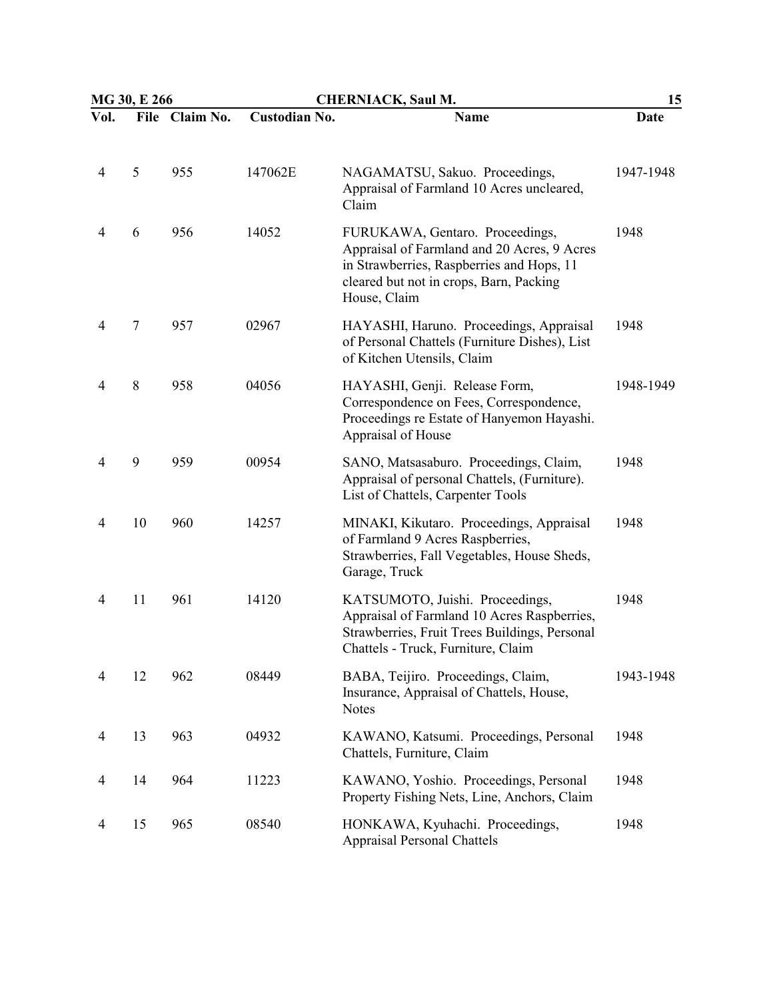|                | MG 30, E 266 |                | <b>CHERNIACK, Saul M.</b> |                                                                                                                                                                                        | 15        |  |
|----------------|--------------|----------------|---------------------------|----------------------------------------------------------------------------------------------------------------------------------------------------------------------------------------|-----------|--|
| Vol.           |              | File Claim No. | <b>Custodian No.</b>      | <b>Name</b>                                                                                                                                                                            | Date      |  |
| 4              | 5            | 955            | 147062E                   | NAGAMATSU, Sakuo. Proceedings,<br>Appraisal of Farmland 10 Acres uncleared,<br>Claim                                                                                                   | 1947-1948 |  |
| 4              | 6            | 956            | 14052                     | FURUKAWA, Gentaro. Proceedings,<br>Appraisal of Farmland and 20 Acres, 9 Acres<br>in Strawberries, Raspberries and Hops, 11<br>cleared but not in crops, Barn, Packing<br>House, Claim | 1948      |  |
| 4              | $\tau$       | 957            | 02967                     | HAYASHI, Haruno. Proceedings, Appraisal<br>of Personal Chattels (Furniture Dishes), List<br>of Kitchen Utensils, Claim                                                                 | 1948      |  |
| 4              | $8\,$        | 958            | 04056                     | HAYASHI, Genji. Release Form,<br>Correspondence on Fees, Correspondence,<br>Proceedings re Estate of Hanyemon Hayashi.<br>Appraisal of House                                           | 1948-1949 |  |
| $\overline{4}$ | 9            | 959            | 00954                     | SANO, Matsasaburo. Proceedings, Claim,<br>Appraisal of personal Chattels, (Furniture).<br>List of Chattels, Carpenter Tools                                                            | 1948      |  |
| 4              | 10           | 960            | 14257                     | MINAKI, Kikutaro. Proceedings, Appraisal<br>of Farmland 9 Acres Raspberries,<br>Strawberries, Fall Vegetables, House Sheds,<br>Garage, Truck                                           | 1948      |  |
| 4              | 11           | 961            | 14120                     | KATSUMOTO, Juishi. Proceedings,<br>Appraisal of Farmland 10 Acres Raspberries,<br>Strawberries, Fruit Trees Buildings, Personal<br>Chattels - Truck, Furniture, Claim                  | 1948      |  |
| 4              | 12           | 962            | 08449                     | BABA, Teijiro. Proceedings, Claim,<br>Insurance, Appraisal of Chattels, House,<br><b>Notes</b>                                                                                         | 1943-1948 |  |
| 4              | 13           | 963            | 04932                     | KAWANO, Katsumi. Proceedings, Personal<br>Chattels, Furniture, Claim                                                                                                                   | 1948      |  |
| 4              | 14           | 964            | 11223                     | KAWANO, Yoshio. Proceedings, Personal<br>Property Fishing Nets, Line, Anchors, Claim                                                                                                   | 1948      |  |
| 4              | 15           | 965            | 08540                     | HONKAWA, Kyuhachi. Proceedings,<br><b>Appraisal Personal Chattels</b>                                                                                                                  | 1948      |  |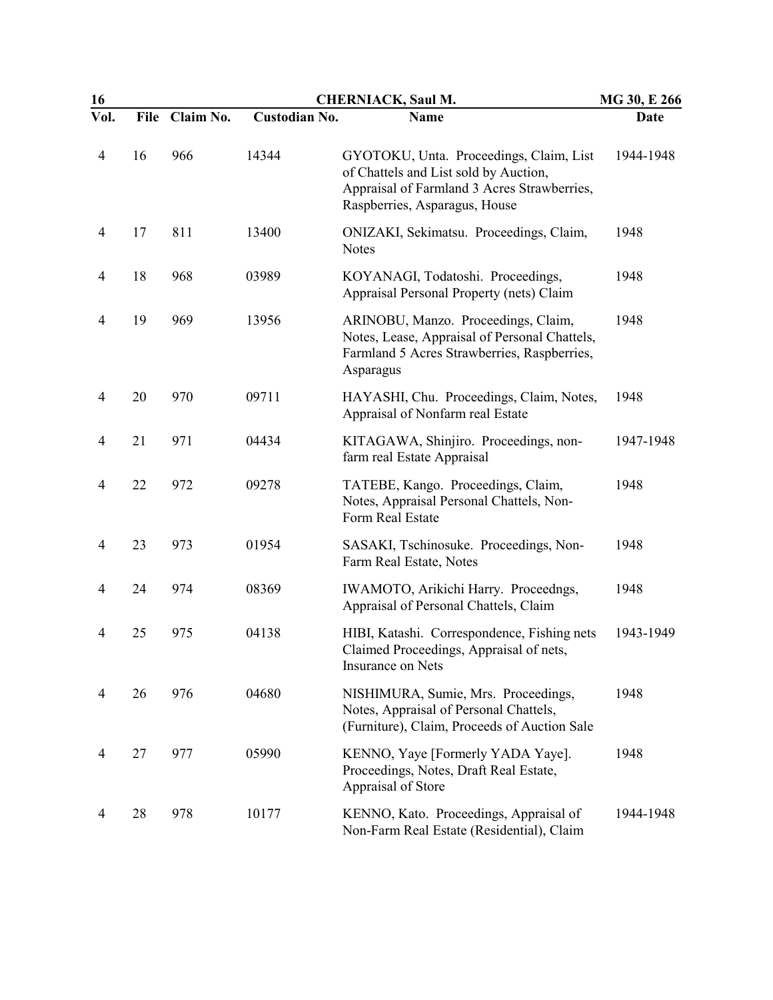| 16             |             | <b>CHERNIACK, Saul M.</b><br>MG 30, E 266 |                      |                                                                                                                                                                  |           |  |
|----------------|-------------|-------------------------------------------|----------------------|------------------------------------------------------------------------------------------------------------------------------------------------------------------|-----------|--|
| Vol.           | <b>File</b> | Claim No.                                 | <b>Custodian No.</b> | <b>Name</b>                                                                                                                                                      | Date      |  |
| 4              | 16          | 966                                       | 14344                | GYOTOKU, Unta. Proceedings, Claim, List<br>of Chattels and List sold by Auction,<br>Appraisal of Farmland 3 Acres Strawberries,<br>Raspberries, Asparagus, House | 1944-1948 |  |
| $\overline{4}$ | 17          | 811                                       | 13400                | ONIZAKI, Sekimatsu. Proceedings, Claim,<br><b>Notes</b>                                                                                                          | 1948      |  |
| 4              | 18          | 968                                       | 03989                | KOYANAGI, Todatoshi. Proceedings,<br>Appraisal Personal Property (nets) Claim                                                                                    | 1948      |  |
| 4              | 19          | 969                                       | 13956                | ARINOBU, Manzo. Proceedings, Claim,<br>Notes, Lease, Appraisal of Personal Chattels,<br>Farmland 5 Acres Strawberries, Raspberries,<br>Asparagus                 | 1948      |  |
| 4              | 20          | 970                                       | 09711                | HAYASHI, Chu. Proceedings, Claim, Notes,<br>Appraisal of Nonfarm real Estate                                                                                     | 1948      |  |
| 4              | 21          | 971                                       | 04434                | KITAGAWA, Shinjiro. Proceedings, non-<br>farm real Estate Appraisal                                                                                              | 1947-1948 |  |
| 4              | 22          | 972                                       | 09278                | TATEBE, Kango. Proceedings, Claim,<br>Notes, Appraisal Personal Chattels, Non-<br>Form Real Estate                                                               | 1948      |  |
| 4              | 23          | 973                                       | 01954                | SASAKI, Tschinosuke. Proceedings, Non-<br>Farm Real Estate, Notes                                                                                                | 1948      |  |
| $\overline{4}$ | 24          | 974                                       | 08369                | IWAMOTO, Arikichi Harry. Proceedngs,<br>Appraisal of Personal Chattels, Claim                                                                                    | 1948      |  |
| 4              | 25          | 975                                       | 04138                | HIBI, Katashi. Correspondence, Fishing nets<br>Claimed Proceedings, Appraisal of nets,<br><b>Insurance on Nets</b>                                               | 1943-1949 |  |
| 4              | 26          | 976                                       | 04680                | NISHIMURA, Sumie, Mrs. Proceedings,<br>Notes, Appraisal of Personal Chattels,<br>(Furniture), Claim, Proceeds of Auction Sale                                    | 1948      |  |
| 4              | 27          | 977                                       | 05990                | KENNO, Yaye [Formerly YADA Yaye].<br>Proceedings, Notes, Draft Real Estate,<br>Appraisal of Store                                                                | 1948      |  |
| 4              | 28          | 978                                       | 10177                | KENNO, Kato. Proceedings, Appraisal of<br>Non-Farm Real Estate (Residential), Claim                                                                              | 1944-1948 |  |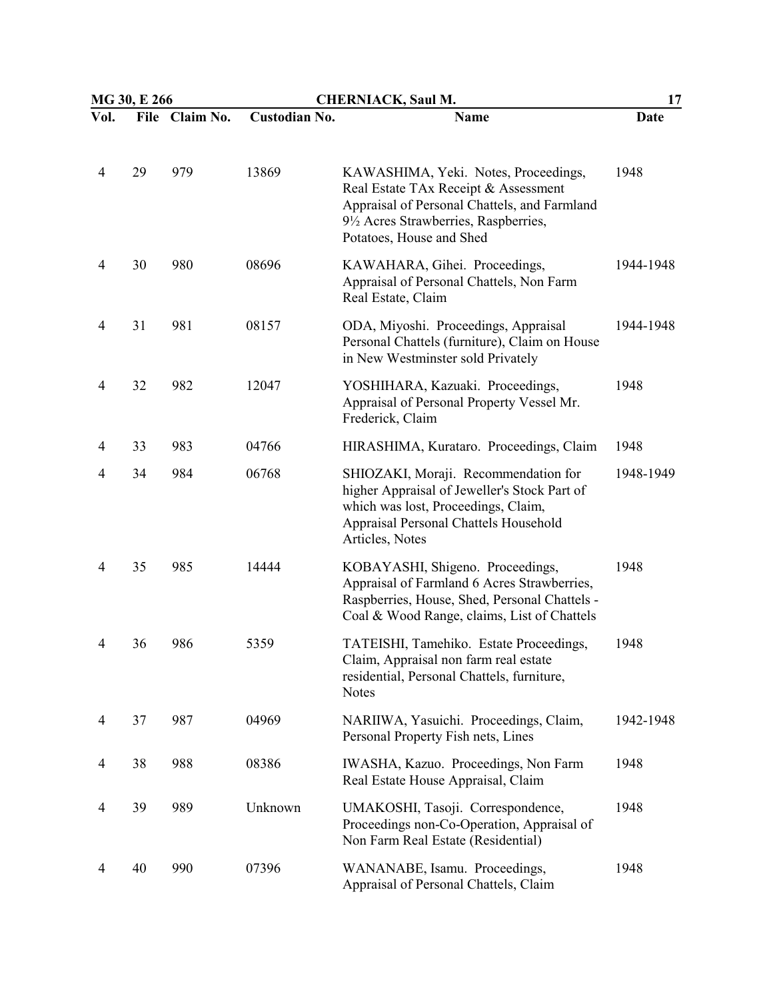|                | MG 30, E 266 |                | <b>CHERNIACK, Saul M.</b> |                                                                                                                                                                                                 | 17        |  |
|----------------|--------------|----------------|---------------------------|-------------------------------------------------------------------------------------------------------------------------------------------------------------------------------------------------|-----------|--|
| Vol.           |              | File Claim No. | <b>Custodian No.</b>      | <b>Name</b>                                                                                                                                                                                     | Date      |  |
| $\overline{4}$ | 29           | 979            | 13869                     | KAWASHIMA, Yeki. Notes, Proceedings,<br>Real Estate TAx Receipt & Assessment<br>Appraisal of Personal Chattels, and Farmland<br>9½ Acres Strawberries, Raspberries,<br>Potatoes, House and Shed | 1948      |  |
| 4              | 30           | 980            | 08696                     | KAWAHARA, Gihei. Proceedings,<br>Appraisal of Personal Chattels, Non Farm<br>Real Estate, Claim                                                                                                 | 1944-1948 |  |
| 4              | 31           | 981            | 08157                     | ODA, Miyoshi. Proceedings, Appraisal<br>Personal Chattels (furniture), Claim on House<br>in New Westminster sold Privately                                                                      | 1944-1948 |  |
| 4              | 32           | 982            | 12047                     | YOSHIHARA, Kazuaki. Proceedings,<br>Appraisal of Personal Property Vessel Mr.<br>Frederick, Claim                                                                                               | 1948      |  |
| 4              | 33           | 983            | 04766                     | HIRASHIMA, Kurataro. Proceedings, Claim                                                                                                                                                         | 1948      |  |
| 4              | 34           | 984            | 06768                     | SHIOZAKI, Moraji. Recommendation for<br>higher Appraisal of Jeweller's Stock Part of<br>which was lost, Proceedings, Claim,<br>Appraisal Personal Chattels Household<br>Articles, Notes         | 1948-1949 |  |
| 4              | 35           | 985            | 14444                     | KOBAYASHI, Shigeno. Proceedings,<br>Appraisal of Farmland 6 Acres Strawberries,<br>Raspberries, House, Shed, Personal Chattels -<br>Coal & Wood Range, claims, List of Chattels                 | 1948      |  |
| 4              | 36           | 986            | 5359                      | TATEISHI, Tamehiko. Estate Proceedings,<br>Claim, Appraisal non farm real estate<br>residential, Personal Chattels, furniture,<br><b>Notes</b>                                                  | 1948      |  |
| 4              | 37           | 987            | 04969                     | NARIIWA, Yasuichi. Proceedings, Claim,<br>Personal Property Fish nets, Lines                                                                                                                    | 1942-1948 |  |
| 4              | 38           | 988            | 08386                     | IWASHA, Kazuo. Proceedings, Non Farm<br>Real Estate House Appraisal, Claim                                                                                                                      | 1948      |  |
| 4              | 39           | 989            | Unknown                   | UMAKOSHI, Tasoji. Correspondence,<br>Proceedings non-Co-Operation, Appraisal of<br>Non Farm Real Estate (Residential)                                                                           | 1948      |  |
| 4              | 40           | 990            | 07396                     | WANANABE, Isamu. Proceedings,<br>Appraisal of Personal Chattels, Claim                                                                                                                          | 1948      |  |